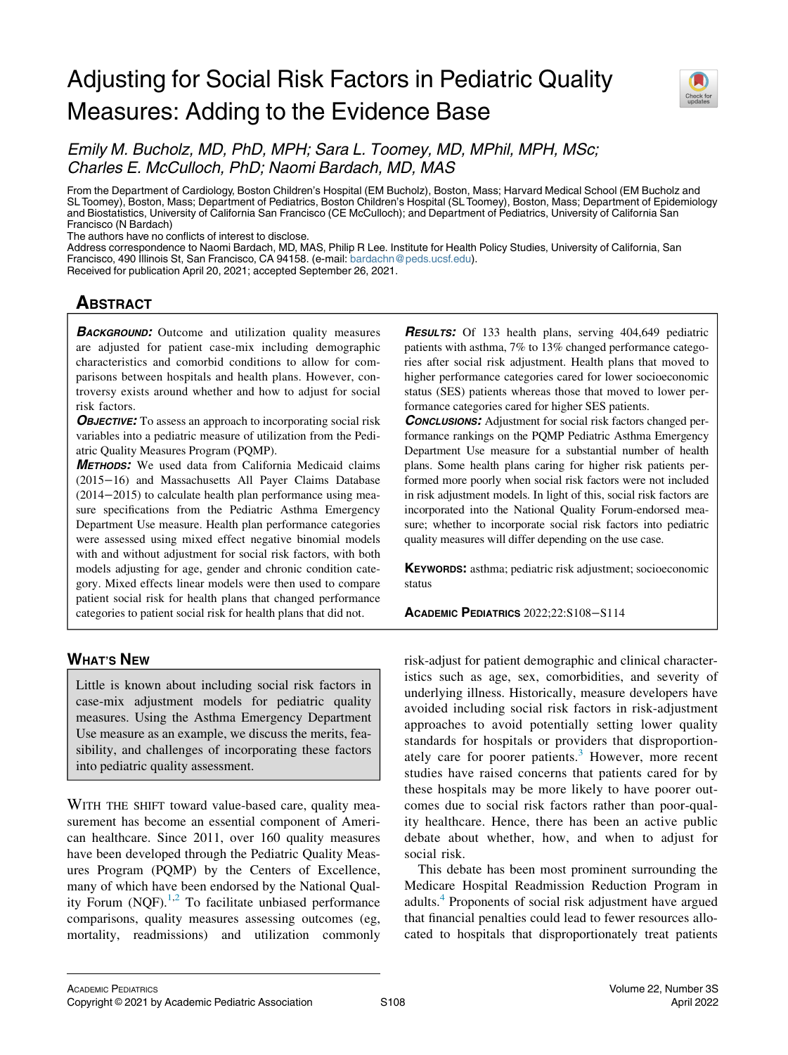# Adjusting for Social Risk Factors in Pediatric Quality Measures: Adding to the Evidence Base



Emily M. Bucholz, MD, PhD, MPH; Sara L. Toomey, MD, MPhil, MPH, MSc; Charles E. McCulloch, PhD; Naomi Bardach, MD, MAS

From the Department of Cardiology, Boston Children's Hospital (EM Bucholz), Boston, Mass; Harvard Medical School (EM Bucholz and SL Toomey), Boston, Mass; Department of Pediatrics, Boston Children's Hospital (SL Toomey), Boston, Mass; Department of Epidemiology and Biostatistics, University of California San Francisco (CE McCulloch); and Department of Pediatrics, University of California San Francisco (N Bardach)

The authors have no conflicts of interest to disclose.

Address correspondence to Naomi Bardach, MD, MAS, Philip R Lee. Institute for Health Policy Studies, University of California, San Francisco, 490 Illinois St, San Francisco, CA 94158. (e-mail: [bardachn@peds.ucsf.edu\)](mailto:bardachn@peds.ucsf.edu).

Received for publication April 20, 2021; accepted September 26, 2021.

# **ABSTRACT** <u>ABSOLUTE 1999</u><br>ABSOLUTE 1999

**BACKGROUND:** Outcome and utilization quality measures are adjusted for patient case-mix including demographic characteristics and comorbid conditions to allow for comparisons between hospitals and health plans. However, controversy exists around whether and how to adjust for social risk factors.

**OBJECTIVE:** To assess an approach to incorporating social risk variables into a pediatric measure of utilization from the Pediatric Quality Measures Program (PQMP).

METHODS: We used data from California Medicaid claims (2015−16) and Massachusetts All Payer Claims Database (2014−2015) to calculate health plan performance using measure specifications from the Pediatric Asthma Emergency Department Use measure. Health plan performance categories were assessed using mixed effect negative binomial models with and without adjustment for social risk factors, with both models adjusting for age, gender and chronic condition category. Mixed effects linear models were then used to compare patient social risk for health plans that changed performance categories to patient social risk for health plans that did not.

## **WHAT'S NEW** <u>What's new</u>

Little is known about including social risk factors in case-mix adjustment models for pediatric quality measures. Using the Asthma Emergency Department Use measure as an example, we discuss the merits, feasibility, and challenges of incorporating these factors into pediatric quality assessment.

WITH THE SHIFT toward value-based care, quality measurement has become an essential component of American healthcare. Since 2011, over 160 quality measures have been developed through the Pediatric Quality Measures Program (PQMP) by the Centers of Excellence, many of which have been endorsed by the National Quality Forum (NQF). $^{1,2}$  $^{1,2}$  $^{1,2}$  $^{1,2}$  To facilitate unbiased performance comparisons, quality measures assessing outcomes (eg, mortality, readmissions) and utilization commonly **RESULTS:** Of 133 health plans, serving 404,649 pediatric patients with asthma, 7% to 13% changed performance categories after social risk adjustment. Health plans that moved to higher performance categories cared for lower socioeconomic status (SES) patients whereas those that moved to lower performance categories cared for higher SES patients.

**CONCLUSIONS:** Adjustment for social risk factors changed performance rankings on the PQMP Pediatric Asthma Emergency Department Use measure for a substantial number of health plans. Some health plans caring for higher risk patients performed more poorly when social risk factors were not included in risk adjustment models. In light of this, social risk factors are incorporated into the National Quality Forum-endorsed measure; whether to incorporate social risk factors into pediatric quality measures will differ depending on the use case.

KEYWORDS: asthma; pediatric risk adjustment; socioeconomic status

ACADEMIC PEDIATRICS 2022;22:S108−S114

risk-adjust for patient demographic and clinical characteristics such as age, sex, comorbidities, and severity of underlying illness. Historically, measure developers have avoided including social risk factors in risk-adjustment approaches to avoid potentially setting lower quality standards for hospitals or providers that disproportion-ately care for poorer patients.<sup>[3](#page-5-2)</sup> However, more recent studies have raised concerns that patients cared for by these hospitals may be more likely to have poorer outcomes due to social risk factors rather than poor-quality healthcare. Hence, there has been an active public debate about whether, how, and when to adjust for social risk.

This debate has been most prominent surrounding the Medicare Hospital Readmission Reduction Program in adults.[4](#page-5-3) Proponents of social risk adjustment have argued that financial penalties could lead to fewer resources allocated to hospitals that disproportionately treat patients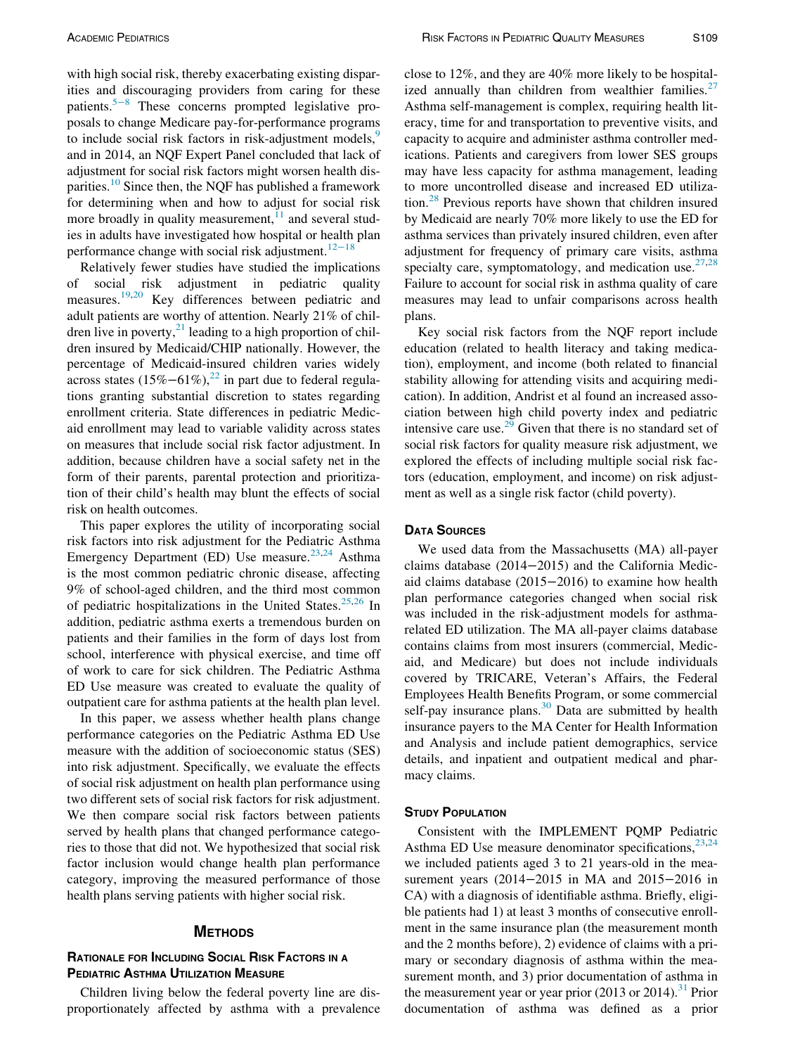with high social risk, thereby exacerbating existing disparities and discouraging providers from caring for these patients.<sup>5[−](#page-5-4)8</sup> These concerns prompted legislative proposals to change Medicare pay-for-performance programs to include social risk factors in risk-adjustment models,<sup>[9](#page-5-5)</sup> and in 2014, an NQF Expert Panel concluded that lack of adjustment for social risk factors might worsen health dis-parities.<sup>[10](#page-5-6)</sup> Since then, the NQF has published a framework for determining when and how to adjust for social risk more broadly in quality measurement, $11$  and several studies in adults have investigated how hospital or health plan performance change with social risk adjustment.<sup>[12](#page-6-1)−18</sup>

Relatively fewer studies have studied the implications of social risk adjustment in pediatric quality measures.[19,](#page-6-2)[20](#page-6-3) Key differences between pediatric and adult patients are worthy of attention. Nearly 21% of children live in poverty, $^{21}$  $^{21}$  $^{21}$  leading to a high proportion of children insured by Medicaid/CHIP nationally. However, the percentage of Medicaid-insured children varies widely across states  $(15\% - 61\%)$ ,<sup>[22](#page-6-5)</sup> in part due to federal regulations granting substantial discretion to states regarding enrollment criteria. State differences in pediatric Medicaid enrollment may lead to variable validity across states on measures that include social risk factor adjustment. In addition, because children have a social safety net in the form of their parents, parental protection and prioritization of their child's health may blunt the effects of social risk on health outcomes.

This paper explores the utility of incorporating social risk factors into risk adjustment for the Pediatric Asthma Emergency Department (ED) Use measure.<sup>[23,](#page-6-6)[24](#page-6-7)</sup> Asthma is the most common pediatric chronic disease, affecting 9% of school-aged children, and the third most common of pediatric hospitalizations in the United States.<sup>[25,](#page-6-8)[26](#page-6-9)</sup> In addition, pediatric asthma exerts a tremendous burden on patients and their families in the form of days lost from school, interference with physical exercise, and time off of work to care for sick children. The Pediatric Asthma ED Use measure was created to evaluate the quality of outpatient care for asthma patients at the health plan level.

In this paper, we assess whether health plans change performance categories on the Pediatric Asthma ED Use measure with the addition of socioeconomic status (SES) into risk adjustment. Specifically, we evaluate the effects of social risk adjustment on health plan performance using two different sets of social risk factors for risk adjustment. We then compare social risk factors between patients served by health plans that changed performance categories to those that did not. We hypothesized that social risk factor inclusion would change health plan performance category, improving the measured performance of those health plans serving patients with higher social risk.

#### **METHODS**

# **RATIONALE FOR INCLUDING SOCIAL RISK FACTORS IN A PEDIATRIC ASTHMA UTILIZATION MEASURE**

Children living below the federal poverty line are disproportionately affected by asthma with a prevalence close to 12%, and they are 40% more likely to be hospital-ized annually than children from wealthier families.<sup>[27](#page-6-10)</sup> Asthma self-management is complex, requiring health literacy, time for and transportation to preventive visits, and capacity to acquire and administer asthma controller medications. Patients and caregivers from lower SES groups may have less capacity for asthma management, leading to more uncontrolled disease and increased ED utilization.[28](#page-6-11) Previous reports have shown that children insured by Medicaid are nearly 70% more likely to use the ED for asthma services than privately insured children, even after adjustment for frequency of primary care visits, asthma specialty care, symptomatology, and medication use.  $27,28$  $27,28$ Failure to account for social risk in asthma quality of care measures may lead to unfair comparisons across health plans.

Key social risk factors from the NQF report include education (related to health literacy and taking medication), employment, and income (both related to financial stability allowing for attending visits and acquiring medication). In addition, Andrist et al found an increased association between high child poverty index and pediatric intensive care use.<sup>[29](#page-6-12)</sup> Given that there is no standard set of social risk factors for quality measure risk adjustment, we explored the effects of including multiple social risk factors (education, employment, and income) on risk adjustment as well as a single risk factor (child poverty).

### **DATA SOURCES**

We used data from the Massachusetts (MA) all-payer claims database (2014−2015) and the California Medicaid claims database (2015−2016) to examine how health plan performance categories changed when social risk was included in the risk-adjustment models for asthmarelated ED utilization. The MA all-payer claims database contains claims from most insurers (commercial, Medicaid, and Medicare) but does not include individuals covered by TRICARE, Veteran's Affairs, the Federal Employees Health Benefits Program, or some commercial self-pay insurance plans. $30$  Data are submitted by health insurance payers to the MA Center for Health Information and Analysis and include patient demographics, service details, and inpatient and outpatient medical and pharmacy claims.

### **STUDY POPULATION**

Consistent with the IMPLEMENT PQMP Pediatric Asthma ED Use measure denominator specifications,  $23,24$  $23,24$ we included patients aged 3 to 21 years-old in the measurement years (2014−2015 in MA and 2015−2016 in CA) with a diagnosis of identifiable asthma. Briefly, eligible patients had 1) at least 3 months of consecutive enrollment in the same insurance plan (the measurement month and the 2 months before), 2) evidence of claims with a primary or secondary diagnosis of asthma within the measurement month, and 3) prior documentation of asthma in the measurement year or year prior  $(2013 \text{ or } 2014)$ .<sup>[31](#page-6-14)</sup> Prior documentation of asthma was defined as a prior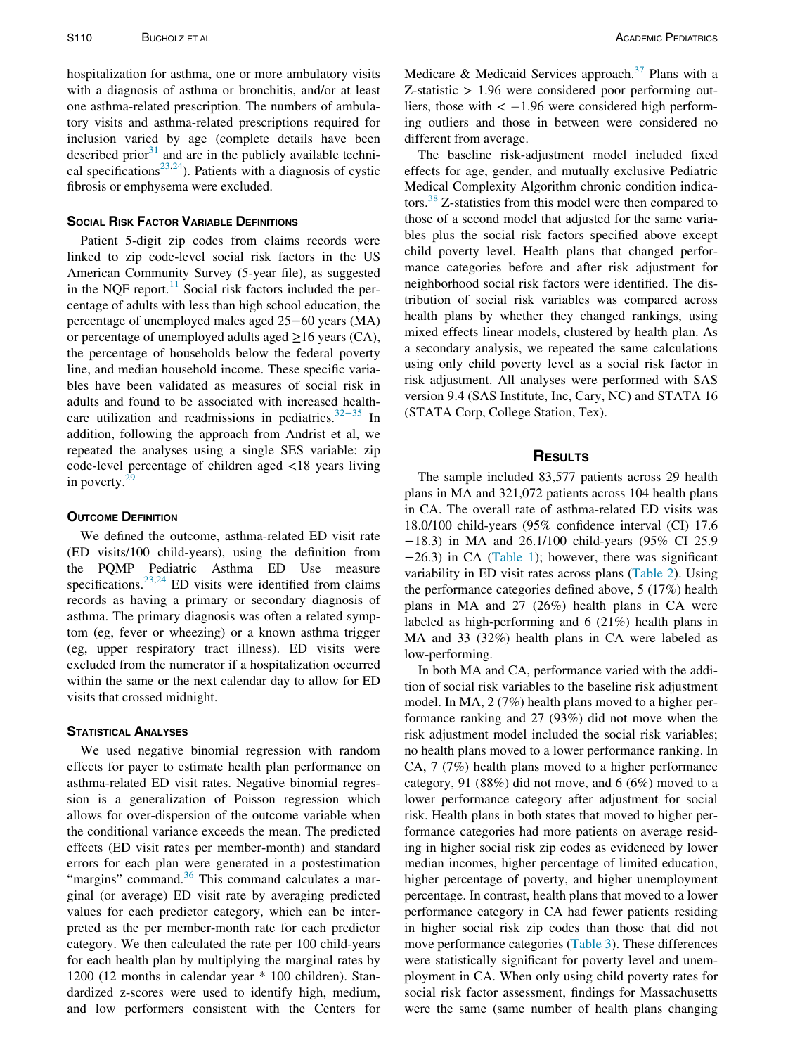hospitalization for asthma, one or more ambulatory visits with a diagnosis of asthma or bronchitis, and/or at least one asthma-related prescription. The numbers of ambulatory visits and asthma-related prescriptions required for inclusion varied by age (complete details have been described prior $31$  and are in the publicly available techni-cal specifications<sup>[23](#page-6-6),24</sup>). Patients with a diagnosis of cystic fibrosis or emphysema were excluded.

Patient 5-digit zip codes from claims records were linked to zip code-level social risk factors in the US American Community Survey (5-year file), as suggested in the NQF report. $^{11}$  $^{11}$  $^{11}$  Social risk factors included the percentage of adults with less than high school education, the percentage of unemployed males aged 25−60 years (MA) or percentage of unemployed adults aged  $\geq$ 16 years (CA), the percentage of households below the federal poverty line, and median household income. These specific variables have been validated as measures of social risk in adults and found to be associated with increased healthcare utilization and readmissions in pediatrics. $32-35$  $32-35$  In addition, following the approach from Andrist et al, we repeated the analyses using a single SES variable: zip code-level percentage of children aged <18 years living in poverty. $29$ 

#### **OUTCOME DEFINITION**

We defined the outcome, asthma-related ED visit rate (ED visits/100 child-years), using the definition from the PQMP Pediatric Asthma ED Use measure specifications. $23,24$  $23,24$  ED visits were identified from claims records as having a primary or secondary diagnosis of asthma. The primary diagnosis was often a related symptom (eg, fever or wheezing) or a known asthma trigger (eg, upper respiratory tract illness). ED visits were excluded from the numerator if a hospitalization occurred within the same or the next calendar day to allow for ED visits that crossed midnight.

We used negative binomial regression with random effects for payer to estimate health plan performance on asthma-related ED visit rates. Negative binomial regression is a generalization of Poisson regression which allows for over-dispersion of the outcome variable when the conditional variance exceeds the mean. The predicted effects (ED visit rates per member-month) and standard errors for each plan were generated in a postestimation "margins" command.<sup>[36](#page-6-16)</sup> This command calculates a marginal (or average) ED visit rate by averaging predicted values for each predictor category, which can be interpreted as the per member-month rate for each predictor category. We then calculated the rate per 100 child-years for each health plan by multiplying the marginal rates by 1200 (12 months in calendar year \* 100 children). Standardized z-scores were used to identify high, medium, and low performers consistent with the Centers for Medicare & Medicaid Services approach.<sup>[37](#page-6-17)</sup> Plans with a  $Z$ -statistic  $> 1.96$  were considered poor performing outliers, those with  $<-1.96$  were considered high performing outliers and those in between were considered no different from average.

The baseline risk-adjustment model included fixed effects for age, gender, and mutually exclusive Pediatric Medical Complexity Algorithm chronic condition indica-tors.<sup>[38](#page-6-18)</sup> Z-statistics from this model were then compared to those of a second model that adjusted for the same variables plus the social risk factors specified above except child poverty level. Health plans that changed performance categories before and after risk adjustment for neighborhood social risk factors were identified. The distribution of social risk variables was compared across health plans by whether they changed rankings, using mixed effects linear models, clustered by health plan. As a secondary analysis, we repeated the same calculations using only child poverty level as a social risk factor in risk adjustment. All analyses were performed with SAS version 9.4 (SAS Institute, Inc, Cary, NC) and STATA 16 (STATA Corp, College Station, Tex).

#### RESULTS

The sample included 83,577 patients across 29 health plans in MA and 321,072 patients across 104 health plans in CA. The overall rate of asthma-related ED visits was 18.0/100 child-years (95% confidence interval (CI) 17.6 −18.3) in MA and 26.1/100 child-years (95% CI 25.9 −26.3) in CA [\(Table 1](#page-3-0)); however, there was significant variability in ED visit rates across plans [\(Table 2](#page-3-1)). Using the performance categories defined above, 5 (17%) health plans in MA and 27 (26%) health plans in CA were labeled as high-performing and 6 (21%) health plans in MA and 33 (32%) health plans in CA were labeled as low-performing.

In both MA and CA, performance varied with the addition of social risk variables to the baseline risk adjustment model. In MA, 2 (7%) health plans moved to a higher performance ranking and 27 (93%) did not move when the risk adjustment model included the social risk variables; no health plans moved to a lower performance ranking. In CA, 7 (7%) health plans moved to a higher performance category, 91 (88%) did not move, and 6 (6%) moved to a lower performance category after adjustment for social risk. Health plans in both states that moved to higher performance categories had more patients on average residing in higher social risk zip codes as evidenced by lower median incomes, higher percentage of limited education, higher percentage of poverty, and higher unemployment percentage. In contrast, health plans that moved to a lower performance category in CA had fewer patients residing in higher social risk zip codes than those that did not move performance categories [\(Table 3](#page-4-0)). These differences were statistically significant for poverty level and unemployment in CA. When only using child poverty rates for social risk factor assessment, findings for Massachusetts were the same (same number of health plans changing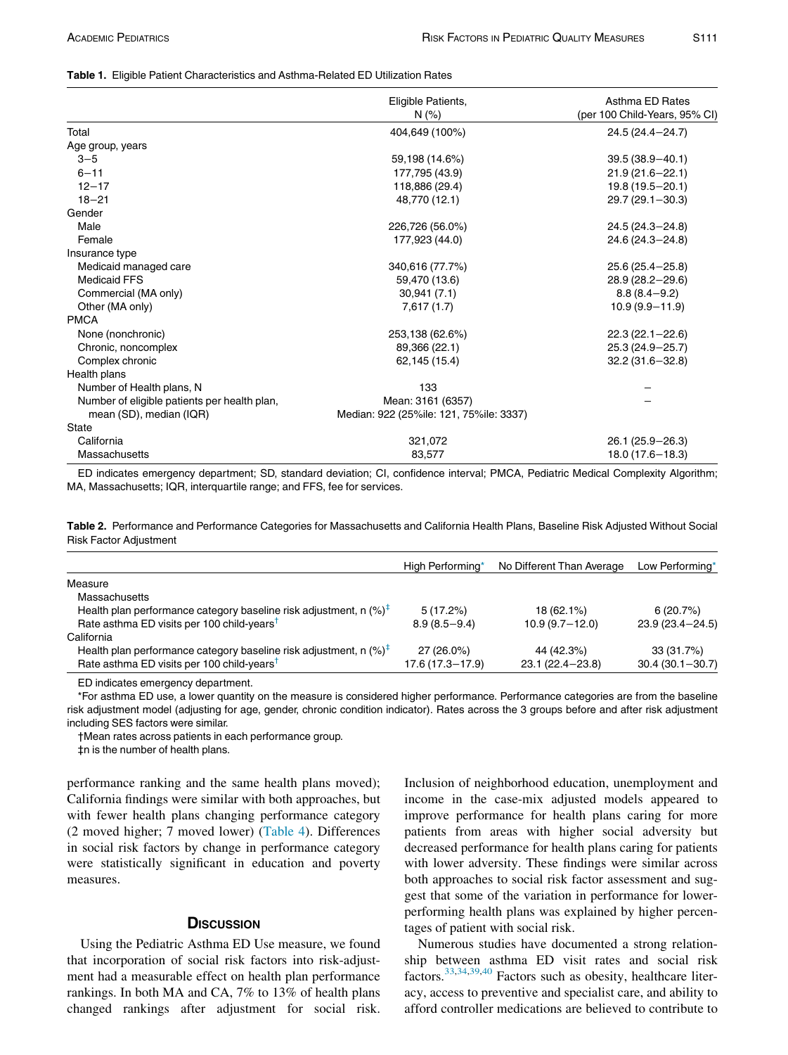#### <span id="page-3-0"></span>Table 1. Eligible Patient Characteristics and Asthma-Related ED Utilization Rates

|                                              | Eligible Patients,                      | Asthma ED Rates               |  |
|----------------------------------------------|-----------------------------------------|-------------------------------|--|
|                                              | N(% )                                   | (per 100 Child-Years, 95% CI) |  |
| Total                                        | 404,649 (100%)                          | 24.5 (24.4-24.7)              |  |
| Age group, years                             |                                         |                               |  |
| $3 - 5$                                      | 59,198 (14.6%)                          | $39.5(38.9 - 40.1)$           |  |
| $6 - 11$                                     | 177,795 (43.9)                          | $21.9(21.6 - 22.1)$           |  |
| $12 - 17$                                    | 118,886 (29.4)                          | 19.8 (19.5-20.1)              |  |
| $18 - 21$                                    | 48,770 (12.1)                           | $29.7(29.1 - 30.3)$           |  |
| Gender                                       |                                         |                               |  |
| Male                                         | 226,726 (56.0%)                         | 24.5 (24.3-24.8)              |  |
| Female                                       | 177,923 (44.0)                          | 24.6 (24.3-24.8)              |  |
| Insurance type                               |                                         |                               |  |
| Medicaid managed care                        | 340,616 (77.7%)                         | $25.6(25.4 - 25.8)$           |  |
| <b>Medicaid FFS</b>                          | 59,470 (13.6)                           | 28.9 (28.2-29.6)              |  |
| Commercial (MA only)                         | 30,941(7.1)                             | $8.8(8.4 - 9.2)$              |  |
| Other (MA only)                              | 7,617(1.7)                              | $10.9(9.9 - 11.9)$            |  |
| <b>PMCA</b>                                  |                                         |                               |  |
| None (nonchronic)                            | 253,138 (62.6%)                         | $22.3(22.1 - 22.6)$           |  |
| Chronic, noncomplex                          | 89,366 (22.1)                           | 25.3 (24.9-25.7)              |  |
| Complex chronic                              | 62,145 (15.4)                           | $32.2(31.6 - 32.8)$           |  |
| Health plans                                 |                                         |                               |  |
| Number of Health plans, N                    | 133                                     |                               |  |
| Number of eligible patients per health plan, | Mean: 3161 (6357)                       |                               |  |
| mean (SD), median (IQR)                      | Median: 922 (25%ile: 121, 75%ile: 3337) |                               |  |
| <b>State</b>                                 |                                         |                               |  |
| California                                   | 321,072                                 | $26.1(25.9 - 26.3)$           |  |
| Massachusetts                                | 83,577                                  | $18.0(17.6 - 18.3)$           |  |

ED indicates emergency department; SD, standard deviation; CI, confidence interval; PMCA, Pediatric Medical Complexity Algorithm; MA, Massachusetts; IQR, interquartile range; and FFS, fee for services.

<span id="page-3-1"></span>Table 2. Performance and Performance Categories for Massachusetts and California Health Plans, Baseline Risk Adjusted Without Social Risk Factor Adjustment

|                                                                              | High Performing*    | No Different Than Average | Low Performing*     |
|------------------------------------------------------------------------------|---------------------|---------------------------|---------------------|
| Measure                                                                      |                     |                           |                     |
| Massachusetts                                                                |                     |                           |                     |
| Health plan performance category baseline risk adjustment, n $(%)^{\dagger}$ | $5(17.2\%)$         | 18 (62.1%)                | 6(20.7%)            |
| Rate asthma ED visits per 100 child-years <sup>†</sup>                       | $8.9(8.5 - 9.4)$    | $10.9(9.7-12.0)$          | $23.9(23.4 - 24.5)$ |
| California                                                                   |                     |                           |                     |
| Health plan performance category baseline risk adjustment, n $(%)^{\dagger}$ | 27 (26.0%)          | 44 (42.3%)                | 33 (31.7%)          |
| Rate asthma ED visits per 100 child-years <sup>†</sup>                       | $17.6(17.3 - 17.9)$ | $23.1(22.4 - 23.8)$       | $30.4(30.1 - 30.7)$ |

ED indicates emergency department.

<span id="page-3-4"></span><span id="page-3-3"></span><span id="page-3-2"></span>\*For asthma ED use, a lower quantity on the measure is considered higher performance. Performance categories are from the baseline risk adjustment model (adjusting for age, gender, chronic condition indicator). Rates across the 3 groups before and after risk adjustment including SES factors were similar.

†Mean rates across patients in each performance group.

‡n is the number of health plans.

performance ranking and the same health plans moved); California findings were similar with both approaches, but with fewer health plans changing performance category (2 moved higher; 7 moved lower) [\(Table 4\)](#page-4-1). Differences in social risk factors by change in performance category were statistically significant in education and poverty measures.

### **DISCUSSION**

Using the Pediatric Asthma ED Use measure, we found that incorporation of social risk factors into risk-adjustment had a measurable effect on health plan performance rankings. In both MA and CA, 7% to 13% of health plans changed rankings after adjustment for social risk.

Inclusion of neighborhood education, unemployment and income in the case-mix adjusted models appeared to improve performance for health plans caring for more patients from areas with higher social adversity but decreased performance for health plans caring for patients with lower adversity. These findings were similar across both approaches to social risk factor assessment and suggest that some of the variation in performance for lowerperforming health plans was explained by higher percentages of patient with social risk.

Numerous studies have documented a strong relationship between asthma ED visit rates and social risk factors.[33,](#page-6-19)[34,](#page-6-20)[39](#page-6-21)[,40](#page-6-22) Factors such as obesity, healthcare literacy, access to preventive and specialist care, and ability to afford controller medications are believed to contribute to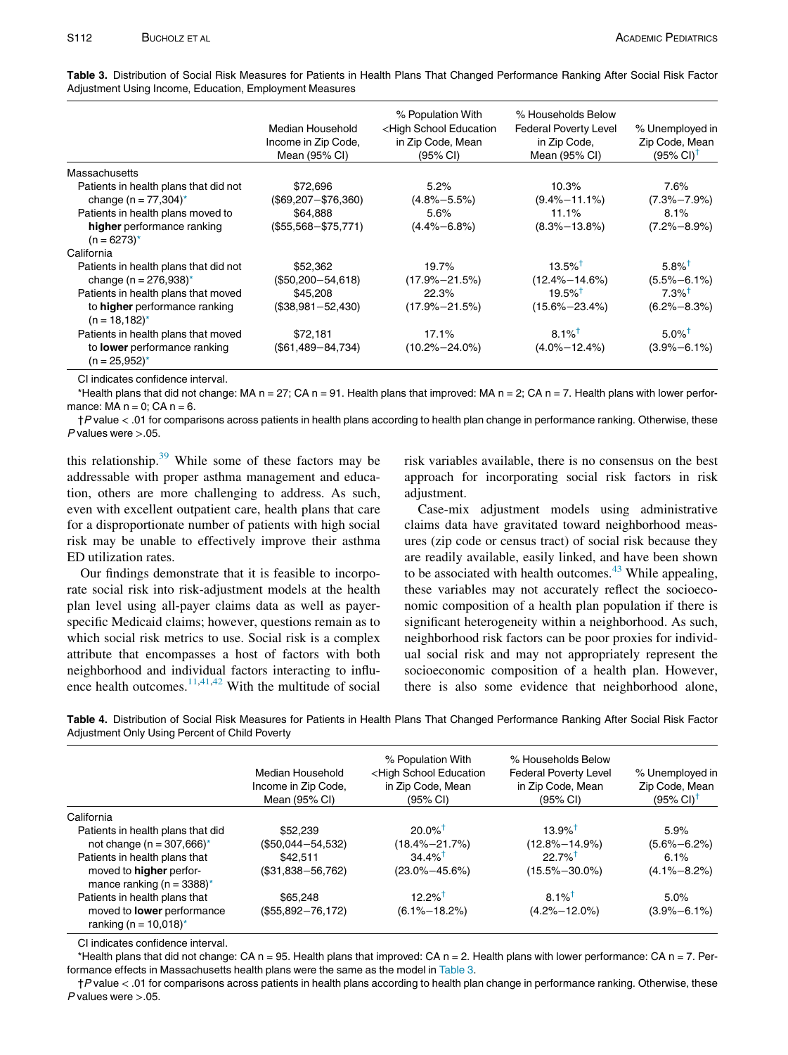|                                                      | Median Household<br>Income in Zip Code,<br>Mean (95% CI) | % Population With<br><high education<br="" school="">in Zip Code, Mean<br/>(95% CI)</high> | % Households Below<br><b>Federal Poverty Level</b><br>in Zip Code,<br>Mean (95% CI) | % Unemployed in<br>Zip Code, Mean<br>$(95\% \text{ Cl})^{\dagger}$ |
|------------------------------------------------------|----------------------------------------------------------|--------------------------------------------------------------------------------------------|-------------------------------------------------------------------------------------|--------------------------------------------------------------------|
| <b>Massachusetts</b>                                 |                                                          |                                                                                            |                                                                                     |                                                                    |
| Patients in health plans that did not                | \$72,696                                                 | 5.2%                                                                                       | 10.3%                                                                               | 7.6%                                                               |
| change (n = $77,304$ )*                              | $($69,207 - $76,360)$                                    | $(4.8\% - 5.5\%)$                                                                          | $(9.4\% - 11.1\%)$                                                                  | $(7.3\% - 7.9\%)$                                                  |
| Patients in health plans moved to                    | \$64.888                                                 | 5.6%                                                                                       | 11.1%                                                                               | 8.1%                                                               |
| higher performance ranking<br>$(n = 6273)^*$         | $($55,568 - $75,771)$                                    | $(4.4\% - 6.8\%)$                                                                          | $(8.3\% - 13.8\%)$                                                                  | $(7.2\% - 8.9\%)$                                                  |
| California                                           |                                                          |                                                                                            |                                                                                     |                                                                    |
| Patients in health plans that did not                | \$52,362                                                 | 19.7%                                                                                      | $13.5\%$ <sup>†</sup>                                                               | $5.8\%$ <sup>†</sup>                                               |
| change (n = $276.938$ )*                             | $($50,200 - 54,618)$                                     | $(17.9\% - 21.5\%)$                                                                        | $(12.4\% - 14.6\%)$                                                                 | $(5.5\% - 6.1\%)$                                                  |
| Patients in health plans that moved                  | \$45,208                                                 | 22.3%                                                                                      | $19.5\%$ <sup>†</sup>                                                               | $7.3\%$ <sup>T</sup>                                               |
| to higher performance ranking<br>$(n = 18.182)^*$    | $($38,981 - 52,430)$                                     | $(17.9\% - 21.5\%)$                                                                        | $(15.6\% - 23.4\%)$                                                                 | $(6.2\% - 8.3\%)$                                                  |
| Patients in health plans that moved                  | \$72,181                                                 | 17.1%                                                                                      | $8.1\%$ <sup>†</sup>                                                                | $5.0\%$ <sup>†</sup>                                               |
| to <b>lower</b> performance ranking<br>(n = 25,952)* | $($61,489 - 84,734)$                                     | $(10.2\% - 24.0\%)$                                                                        | $(4.0\% - 12.4\%)$                                                                  | $(3.9\text{-}6.1\text{-}6)$                                        |

<span id="page-4-0"></span>Table 3. Distribution of Social Risk Measures for Patients in Health Plans That Changed Performance Ranking After Social Risk Factor Adjustment Using Income, Education, Employment Measures

CI indicates confidence interval.

<span id="page-4-3"></span><span id="page-4-2"></span>\*Health plans that did not change: MA  $n = 27$ ; CA  $n = 91$ . Health plans that improved: MA  $n = 2$ ; CA  $n = 7$ . Health plans with lower performance:  $MA n = 0$ ;  $CA n = 6$ .

†P value < .01 for comparisons across patients in health plans according to health plan change in performance ranking. Otherwise, these  $P$  values were  $> 0.05$ .

this relationship.[39](#page-6-21) While some of these factors may be addressable with proper asthma management and education, others are more challenging to address. As such, even with excellent outpatient care, health plans that care for a disproportionate number of patients with high social risk may be unable to effectively improve their asthma ED utilization rates.

Our findings demonstrate that it is feasible to incorporate social risk into risk-adjustment models at the health plan level using all-payer claims data as well as payerspecific Medicaid claims; however, questions remain as to which social risk metrics to use. Social risk is a complex attribute that encompasses a host of factors with both neighborhood and individual factors interacting to influence health outcomes.  $\frac{11,41,42}{11,41}$  $\frac{11,41,42}{11,41}$  $\frac{11,41,42}{11,41}$  $\frac{11,41,42}{11,41}$  $\frac{11,41,42}{11,41}$  With the multitude of social risk variables available, there is no consensus on the best approach for incorporating social risk factors in risk adjustment.

Case-mix adjustment models using administrative claims data have gravitated toward neighborhood measures (zip code or census tract) of social risk because they are readily available, easily linked, and have been shown to be associated with health outcomes. $43$  While appealing, these variables may not accurately reflect the socioeconomic composition of a health plan population if there is significant heterogeneity within a neighborhood. As such, neighborhood risk factors can be poor proxies for individual social risk and may not appropriately represent the socioeconomic composition of a health plan. However, there is also some evidence that neighborhood alone,

<span id="page-4-1"></span>Table 4. Distribution of Social Risk Measures for Patients in Health Plans That Changed Performance Ranking After Social Risk Factor Adjustment Only Using Percent of Child Poverty

|                                                                 | Median Household<br>Income in Zip Code,<br>Mean (95% CI) | % Population With<br><high education<br="" school="">in Zip Code, Mean<br/>(95% CI)</high> | % Households Below<br><b>Federal Poverty Level</b><br>in Zip Code, Mean<br>(95% CI) | % Unemployed in<br>Zip Code, Mean<br>$(95\% \text{ Cl})^{\dagger}$ |
|-----------------------------------------------------------------|----------------------------------------------------------|--------------------------------------------------------------------------------------------|-------------------------------------------------------------------------------------|--------------------------------------------------------------------|
|                                                                 |                                                          |                                                                                            |                                                                                     |                                                                    |
| California                                                      |                                                          |                                                                                            |                                                                                     |                                                                    |
| Patients in health plans that did                               | \$52,239                                                 | $20.0\%$ <sup>†</sup>                                                                      | $13.9\%$ <sup>†</sup>                                                               | 5.9%                                                               |
| not change ( $n = 307,666$ )*                                   | $($50,044 - 54,532)$                                     | $(18.4\% - 21.7\%)$                                                                        | $(12.8\% - 14.9\%)$                                                                 | $(5.6\% - 6.2\%)$                                                  |
| Patients in health plans that                                   | \$42.511                                                 | $34.4\%$ <sup>†</sup>                                                                      | $22.7\%$ <sup>†</sup>                                                               | 6.1%                                                               |
| moved to <b>higher</b> perfor-<br>mance ranking ( $n = 3388$ )* | $($31,838 - 56,762)$                                     | $(23.0\% - 45.6\%)$                                                                        | $(15.5\% - 30.0\%)$                                                                 | $(4.1\% - 8.2\%)$                                                  |
| Patients in health plans that                                   | \$65,248                                                 | $12.2\%$ <sup>†</sup>                                                                      | $8.1\%$ <sup>†</sup>                                                                | 5.0%                                                               |
| moved to <b>lower</b> performance<br>ranking (n = $10,018$ )*   | $($55,892 - 76,172)$                                     | $(6.1\% - 18.2\%)$                                                                         | $(4.2\% - 12.0\%)$                                                                  | $(3.9\% - 6.1\%)$                                                  |

CI indicates confidence interval.

<span id="page-4-5"></span><span id="page-4-4"></span>\*Health plans that did not change: CA n = 95. Health plans that improved: CA n = 2. Health plans with lower performance: CA n = 7. Performance effects in Massachusetts health plans were the same as the model in [Table 3](#page-4-0).

†P value < .01 for comparisons across patients in health plans according to health plan change in performance ranking. Otherwise, these  $P$  values were  $> 0.05$ .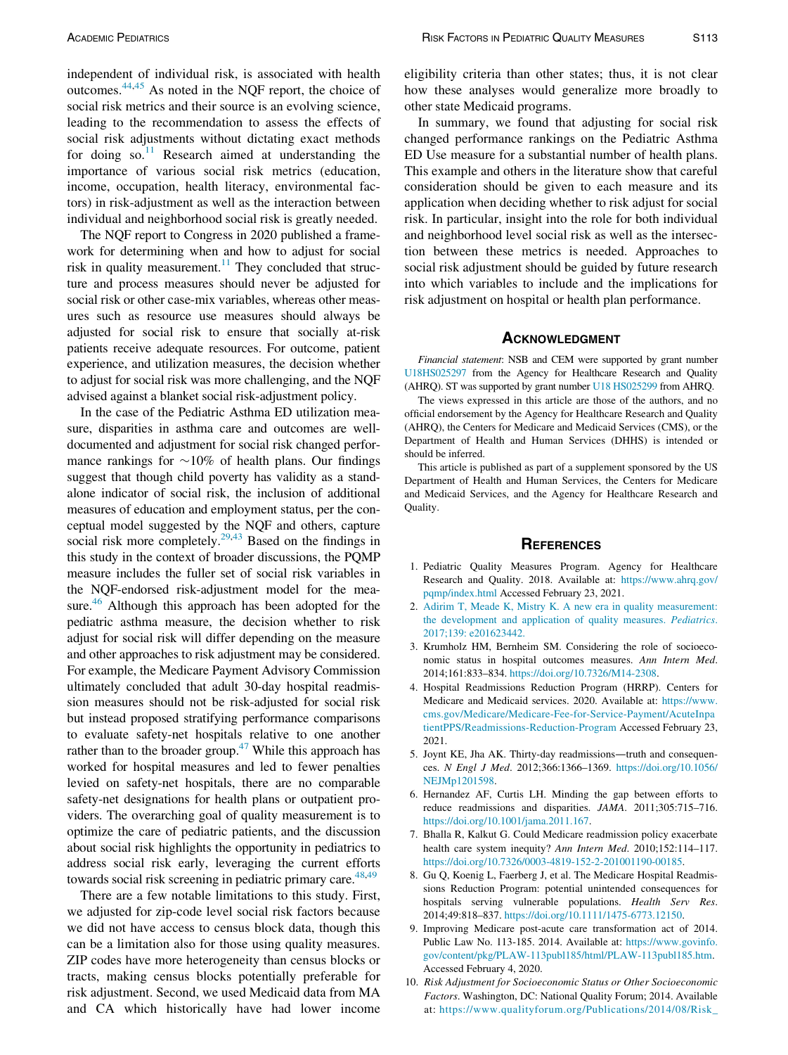independent of individual risk, is associated with health outcomes.[44](#page-6-26),[45](#page-6-27) As noted in the NQF report, the choice of social risk metrics and their source is an evolving science, leading to the recommendation to assess the effects of social risk adjustments without dictating exact methods for doing so. $11$  Research aimed at understanding the importance of various social risk metrics (education, income, occupation, health literacy, environmental factors) in risk-adjustment as well as the interaction between individual and neighborhood social risk is greatly needed.

The NQF report to Congress in 2020 published a framework for determining when and how to adjust for social risk in quality measurement.<sup>11</sup> They concluded that structure and process measures should never be adjusted for social risk or other case-mix variables, whereas other measures such as resource use measures should always be adjusted for social risk to ensure that socially at-risk patients receive adequate resources. For outcome, patient experience, and utilization measures, the decision whether to adjust for social risk was more challenging, and the NQF advised against a blanket social risk-adjustment policy.

<span id="page-5-7"></span><span id="page-5-2"></span><span id="page-5-1"></span><span id="page-5-0"></span>In the case of the Pediatric Asthma ED utilization measure, disparities in asthma care and outcomes are welldocumented and adjustment for social risk changed performance rankings for  $\sim 10\%$  of health plans. Our findings suggest that though child poverty has validity as a standalone indicator of social risk, the inclusion of additional measures of education and employment status, per the conceptual model suggested by the NQF and others, capture social risk more completely.<sup>29,[43](#page-6-25)</sup> Based on the findings in this study in the context of broader discussions, the PQMP measure includes the fuller set of social risk variables in the NQF-endorsed risk-adjustment model for the measure.<sup>46</sup> Although this approach has been adopted for the pediatric asthma measure, the decision whether to risk adjust for social risk will differ depending on the measure and other approaches to risk adjustment may be considered. For example, the Medicare Payment Advisory Commission ultimately concluded that adult 30-day hospital readmission measures should not be risk-adjusted for social risk but instead proposed stratifying performance comparisons to evaluate safety-net hospitals relative to one another rather than to the broader group. $47$  While this approach has worked for hospital measures and led to fewer penalties levied on safety-net hospitals, there are no comparable safety-net designations for health plans or outpatient providers. The overarching goal of quality measurement is to optimize the care of pediatric patients, and the discussion about social risk highlights the opportunity in pediatrics to address social risk early, leveraging the current efforts towards social risk screening in pediatric primary care.<sup>[48,](#page-6-30)[49](#page-6-31)</sup>

<span id="page-5-6"></span><span id="page-5-5"></span><span id="page-5-4"></span><span id="page-5-3"></span>There are a few notable limitations to this study. First, we adjusted for zip-code level social risk factors because we did not have access to census block data, though this can be a limitation also for those using quality measures. ZIP codes have more heterogeneity than census blocks or tracts, making census blocks potentially preferable for risk adjustment. Second, we used Medicaid data from MA and CA which historically have had lower income

eligibility criteria than other states; thus, it is not clear how these analyses would generalize more broadly to other state Medicaid programs.

In summary, we found that adjusting for social risk changed performance rankings on the Pediatric Asthma ED Use measure for a substantial number of health plans. This example and others in the literature show that careful consideration should be given to each measure and its application when deciding whether to risk adjust for social risk. In particular, insight into the role for both individual and neighborhood level social risk as well as the intersection between these metrics is needed. Approaches to social risk adjustment should be guided by future research into which variables to include and the implications for risk adjustment on hospital or health plan performance.

Financial statement: NSB and CEM were supported by grant number [U18HS025297](#page-5-7) from the Agency for Healthcare Research and Quality (AHRQ). ST was supported by grant number [U18 HS025299](#page-5-7) from AHRQ.

The views expressed in this article are those of the authors, and no official endorsement by the Agency for Healthcare Research and Quality (AHRQ), the Centers for Medicare and Medicaid Services (CMS), or the Department of Health and Human Services (DHHS) is intended or should be inferred.

This article is published as part of a supplement sponsored by the US Department of Health and Human Services, the Centers for Medicare and Medicaid Services, and the Agency for Healthcare Research and Quality.

#### **REFERENCES**

- 1. Pediatric Quality Measures Program. Agency for Healthcare Research and Quality. 2018. Available at: [https://www.ahrq.gov/](https://www.ahrq.gov/pqmp/index.html) [pqmp/index.html](https://www.ahrq.gov/pqmp/index.html) Accessed February 23, 2021.
- 2. [Adirim T, Meade K, Mistry K. A new era in quality measurement:](http://refhub.elsevier.com/S1876-2859(21)00523-4/sbref0002) [the development and application of quality measures.](http://refhub.elsevier.com/S1876-2859(21)00523-4/sbref0002) Pediatrics. [2017;139: e201623442.](http://refhub.elsevier.com/S1876-2859(21)00523-4/sbref0002)
- 3. Krumholz HM, Bernheim SM. Considering the role of socioeconomic status in hospital outcomes measures. Ann Intern Med. 2014;161:833–834. [https://doi.org/10.7326/M14-2308.](https://doi.org/10.7326/M14-2308)
- 4. Hospital Readmissions Reduction Program (HRRP). Centers for Medicare and Medicaid services. 2020. Available at: [https://www.](https://www.cms.gov/Medicare/Medicare-Fee-for-Service-Payment/AcuteInpatientPPS/Readmissions-Reduction-Program) [cms.gov/Medicare/Medicare-Fee-for-Service-Payment/AcuteInpa](https://www.cms.gov/Medicare/Medicare-Fee-for-Service-Payment/AcuteInpatientPPS/Readmissions-Reduction-Program) [tientPPS/Readmissions-Reduction-Program](https://www.cms.gov/Medicare/Medicare-Fee-for-Service-Payment/AcuteInpatientPPS/Readmissions-Reduction-Program) Accessed February 23, 2021.
- 5. Joynt KE, Jha AK. Thirty-day readmissions—truth and consequences. N Engl J Med. 2012;366:1366–1369. [https://doi.org/10.1056/](https://doi.org/10.1056/NEJMp1201598) [NEJMp1201598.](https://doi.org/10.1056/NEJMp1201598)
- 6. Hernandez AF, Curtis LH. Minding the gap between efforts to reduce readmissions and disparities. JAMA. 2011;305:715–716. <https://doi.org/10.1001/jama.2011.167>.
- 7. Bhalla R, Kalkut G. Could Medicare readmission policy exacerbate health care system inequity? Ann Intern Med. 2010;152:114-117. [https://doi.org/10.7326/0003-4819-152-2-201001190-00185.](https://doi.org/10.7326/0003-4819-152-2-201001190-00185)
- 8. Gu Q, Koenig L, Faerberg J, et al. The Medicare Hospital Readmissions Reduction Program: potential unintended consequences for hospitals serving vulnerable populations. Health Serv Res. 2014;49:818–837. <https://doi.org/10.1111/1475-6773.12150>.
- 9. Improving Medicare post-acute care transformation act of 2014. Public Law No. 113-185. 2014. Available at: [https://www.govinfo.](https://www.govinfo.gov/content/pkg/PLAW-113publ185/html/PLAW-113publ185.htm) [gov/content/pkg/PLAW-113publ185/html/PLAW-113publ185.htm.](https://www.govinfo.gov/content/pkg/PLAW-113publ185/html/PLAW-113publ185.htm) Accessed February 4, 2020.
- 10. Risk Adjustment for Socioeconomic Status or Other Socioeconomic Factors. Washington, DC: National Quality Forum; 2014. Available at: [https://www.qualityforum.org/Publications/2014/08/Risk\\_](https://www.qualityforum.org/Publications/2014/08/Risk_Adjustment_for_Socioeconomic_Status_or_Other_Sociodemographic_Factors.aspx)